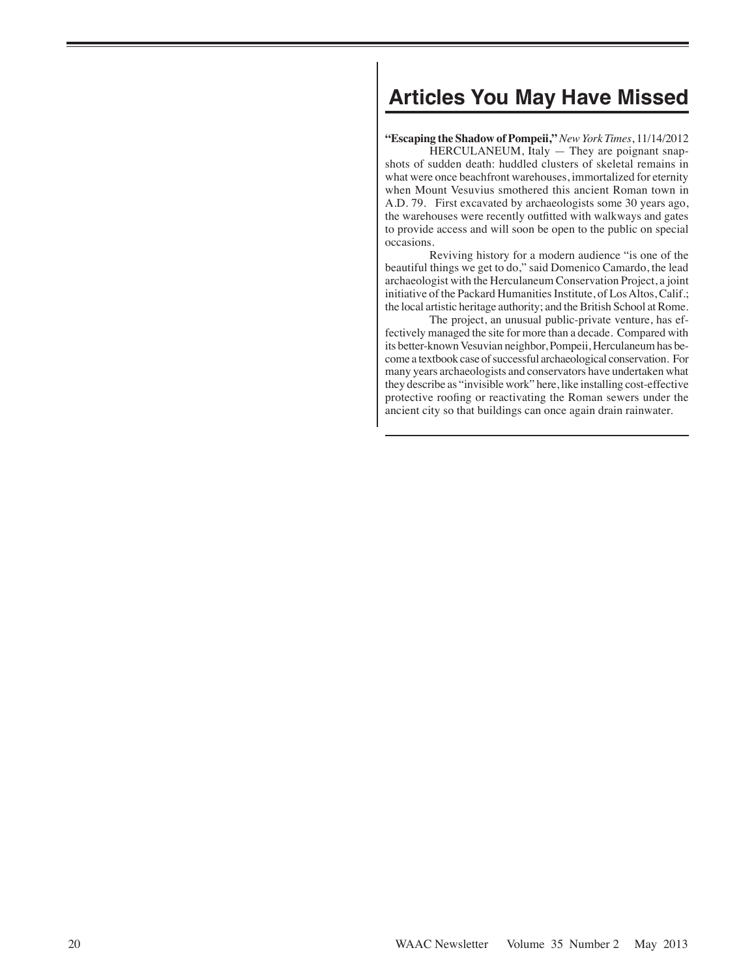# **Articles You May Have Missed**

**"Escaping the Shadow of Pompeii,"** *New York Times*, 11/14/2012

HERCULANEUM, Italy - They are poignant snapshots of sudden death: huddled clusters of skeletal remains in what were once beachfront warehouses, immortalized for eternity when Mount Vesuvius smothered this ancient Roman town in A.D. 79. First excavated by archaeologists some 30 years ago, the warehouses were recently outfitted with walkways and gates to provide access and will soon be open to the public on special occasions.

Reviving history for a modern audience "is one of the beautiful things we get to do," said Domenico Camardo, the lead archaeologist with the Herculaneum Conservation Project, a joint initiative of the Packard Humanities Institute, of Los Altos, Calif.; the local artistic heritage authority; and the British School at Rome.

The project, an unusual public-private venture, has effectively managed the site for more than a decade. Compared with its better-known Vesuvian neighbor, Pompeii, Herculaneum has become a textbook case of successful archaeological conservation. For many years archaeologists and conservators have undertaken what they describe as "invisible work" here, like installing cost-effective protective roofing or reactivating the Roman sewers under the ancient city so that buildings can once again drain rainwater.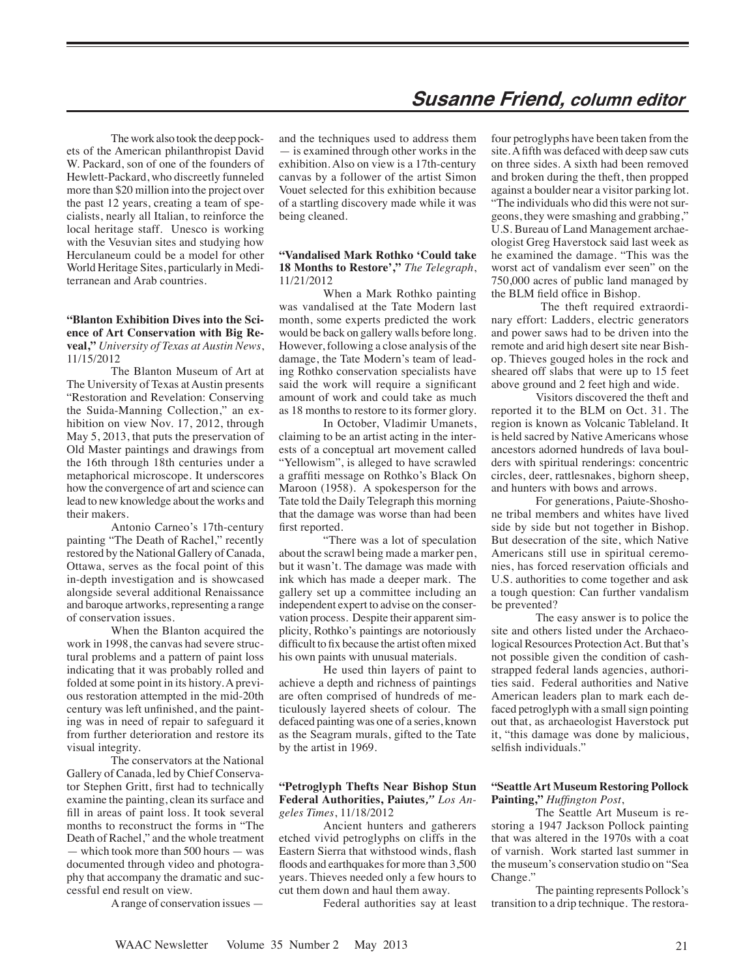## **Susanne Friend, column editor**

The work also took the deep pockets of the American philanthropist David W. Packard, son of one of the founders of Hewlett-Packard, who discreetly funneled more than \$20 million into the project over the past 12 years, creating a team of specialists, nearly all Italian, to reinforce the local heritage staff. Unesco is working with the Vesuvian sites and studying how Herculaneum could be a model for other World Heritage Sites, particularly in Mediterranean and Arab countries.

## **"Blanton Exhibition Dives into the Science of Art Conservation with Big Reveal,"** *University of Texas at Austin News*, 11/15/2012

The Blanton Museum of Art at The University of Texas at Austin presents "Restoration and Revelation: Conserving the Suida-Manning Collection," an exhibition on view Nov. 17, 2012, through May 5, 2013, that puts the preservation of Old Master paintings and drawings from the 16th through 18th centuries under a metaphorical microscope. It underscores how the convergence of art and science can lead to new knowledge about the works and their makers.

Antonio Carneo's 17th-century painting "The Death of Rachel," recently restored by the National Gallery of Canada, Ottawa, serves as the focal point of this in-depth investigation and is showcased alongside several additional Renaissance and baroque artworks, representing a range of conservation issues.

When the Blanton acquired the work in 1998, the canvas had severe structural problems and a pattern of paint loss indicating that it was probably rolled and folded at some point in its history. A previous restoration attempted in the mid-20th century was left unfinished, and the painting was in need of repair to safeguard it from further deterioration and restore its visual integrity.

The conservators at the National Gallery of Canada, led by Chief Conservator Stephen Gritt, first had to technically examine the painting, clean its surface and fill in areas of paint loss. It took several months to reconstruct the forms in "The Death of Rachel," and the whole treatment — which took more than 500 hours — was documented through video and photography that accompany the dramatic and successful end result on view.

A range of conservation issues —

and the techniques used to address them — is examined through other works in the exhibition. Also on view is a 17th-century canvas by a follower of the artist Simon Vouet selected for this exhibition because of a startling discovery made while it was being cleaned.

## **"Vandalised Mark Rothko 'Could take 18 Months to Restore',"** *The Telegraph*, 11/21/2012

When a Mark Rothko painting was vandalised at the Tate Modern last month, some experts predicted the work would be back on gallery walls before long. However, following a close analysis of the damage, the Tate Modern's team of leading Rothko conservation specialists have said the work will require a significant amount of work and could take as much as 18 months to restore to its former glory.

In October, Vladimir Umanets, claiming to be an artist acting in the interests of a conceptual art movement called "Yellowism", is alleged to have scrawled a graffiti message on Rothko's Black On Maroon (1958). A spokesperson for the Tate told the Daily Telegraph this morning that the damage was worse than had been first reported.

"There was a lot of speculation about the scrawl being made a marker pen, but it wasn't. The damage was made with ink which has made a deeper mark. The gallery set up a committee including an independent expert to advise on the conservation process. Despite their apparent simplicity, Rothko's paintings are notoriously difficult to fix because the artist often mixed his own paints with unusual materials.

He used thin layers of paint to achieve a depth and richness of paintings are often comprised of hundreds of meticulously layered sheets of colour. The defaced painting was one of a series, known as the Seagram murals, gifted to the Tate by the artist in 1969.

#### **"Petroglyph Thefts Near Bishop Stun Federal Authorities, Paiutes***," Los Angeles Times*, 11/18/2012

Ancient hunters and gatherers etched vivid petroglyphs on cliffs in the Eastern Sierra that withstood winds, flash floods and earthquakes for more than 3,500 years. Thieves needed only a few hours to cut them down and haul them away.

Federal authorities say at least

four petroglyphs have been taken from the site. A fifth was defaced with deep saw cuts on three sides. A sixth had been removed and broken during the theft, then propped against a boulder near a visitor parking lot. "The individuals who did this were not surgeons, they were smashing and grabbing," U.S. Bureau of Land Management archaeologist Greg Haverstock said last week as he examined the damage. "This was the worst act of vandalism ever seen" on the 750,000 acres of public land managed by the BLM field office in Bishop.

 The theft required extraordinary effort: Ladders, electric generators and power saws had to be driven into the remote and arid high desert site near Bishop. Thieves gouged holes in the rock and sheared off slabs that were up to 15 feet above ground and 2 feet high and wide.

Visitors discovered the theft and reported it to the BLM on Oct. 31. The region is known as Volcanic Tableland. It is held sacred by Native Americans whose ancestors adorned hundreds of lava boulders with spiritual renderings: concentric circles, deer, rattlesnakes, bighorn sheep, and hunters with bows and arrows.

For generations, Paiute-Shoshone tribal members and whites have lived side by side but not together in Bishop. But desecration of the site, which Native Americans still use in spiritual ceremonies, has forced reservation officials and U.S. authorities to come together and ask a tough question: Can further vandalism be prevented?

The easy answer is to police the site and others listed under the Archaeological Resources Protection Act. But that's not possible given the condition of cashstrapped federal lands agencies, authorities said. Federal authorities and Native American leaders plan to mark each defaced petroglyph with a small sign pointing out that, as archaeologist Haverstock put it, "this damage was done by malicious, selfish individuals."

## **"Seattle Art Museum Restoring Pollock Painting,"** *Huffington Post*,

The Seattle Art Museum is restoring a 1947 Jackson Pollock painting that was altered in the 1970s with a coat of varnish. Work started last summer in the museum's conservation studio on "Sea Change."

The painting represents Pollock's transition to a drip technique. The restora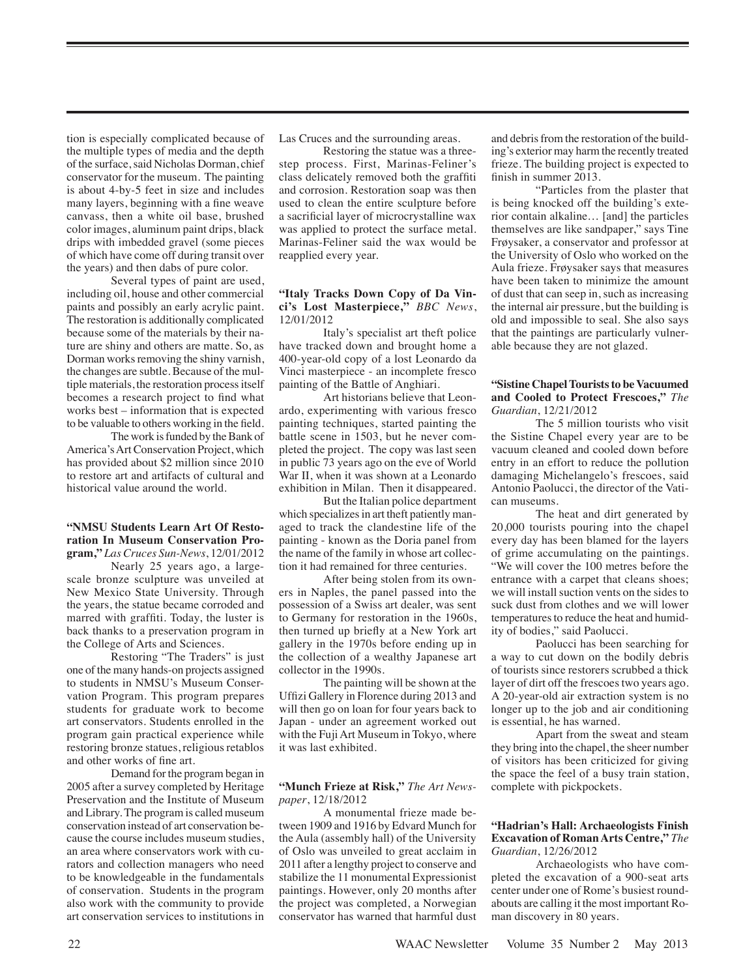tion is especially complicated because of the multiple types of media and the depth of the surface, said Nicholas Dorman, chief conservator for the museum. The painting is about 4-by-5 feet in size and includes many layers, beginning with a fine weave canvass, then a white oil base, brushed color images, aluminum paint drips, black drips with imbedded gravel (some pieces of which have come off during transit over the years) and then dabs of pure color.

Several types of paint are used, including oil, house and other commercial paints and possibly an early acrylic paint. The restoration is additionally complicated because some of the materials by their nature are shiny and others are matte. So, as Dorman works removing the shiny varnish, the changes are subtle. Because of the multiple materials, the restoration process itself becomes a research project to find what works best – information that is expected to be valuable to others working in the field.

The work is funded by the Bank of America's Art Conservation Project, which has provided about \$2 million since 2010 to restore art and artifacts of cultural and historical value around the world.

## **"NMSU Students Learn Art Of Restoration In Museum Conservation Program,"** *Las Cruces Sun-News*, 12/01/2012

Nearly 25 years ago, a largescale bronze sculpture was unveiled at New Mexico State University. Through the years, the statue became corroded and marred with graffiti. Today, the luster is back thanks to a preservation program in the College of Arts and Sciences.

Restoring "The Traders" is just one of the many hands-on projects assigned to students in NMSU's Museum Conservation Program. This program prepares students for graduate work to become art conservators. Students enrolled in the program gain practical experience while restoring bronze statues, religious retablos and other works of fine art.

Demand for the program began in 2005 after a survey completed by Heritage Preservation and the Institute of Museum and Library. The program is called museum conservation instead of art conservation because the course includes museum studies, an area where conservators work with curators and collection managers who need to be knowledgeable in the fundamentals of conservation. Students in the program also work with the community to provide art conservation services to institutions in

Las Cruces and the surrounding areas.

Restoring the statue was a threestep process. First, Marinas-Feliner's class delicately removed both the graffiti and corrosion. Restoration soap was then used to clean the entire sculpture before a sacrificial layer of microcrystalline wax was applied to protect the surface metal. Marinas-Feliner said the wax would be reapplied every year.

#### **"Italy Tracks Down Copy of Da Vinci's Lost Masterpiece,"** *BBC News*, 12/01/2012

Italy's specialist art theft police have tracked down and brought home a 400-year-old copy of a lost Leonardo da Vinci masterpiece - an incomplete fresco painting of the Battle of Anghiari.

Art historians believe that Leonardo, experimenting with various fresco painting techniques, started painting the battle scene in 1503, but he never completed the project. The copy was last seen in public 73 years ago on the eve of World War II, when it was shown at a Leonardo exhibition in Milan. Then it disappeared.

But the Italian police department which specializes in art theft patiently managed to track the clandestine life of the painting - known as the Doria panel from the name of the family in whose art collection it had remained for three centuries.

After being stolen from its owners in Naples, the panel passed into the possession of a Swiss art dealer, was sent to Germany for restoration in the 1960s, then turned up briefly at a New York art gallery in the 1970s before ending up in the collection of a wealthy Japanese art collector in the 1990s.

The painting will be shown at the Uffizi Gallery in Florence during 2013 and will then go on loan for four years back to Japan - under an agreement worked out with the Fuji Art Museum in Tokyo, where it was last exhibited.

#### **"Munch Frieze at Risk,"** *The Art Newspaper*, 12/18/2012

A monumental frieze made between 1909 and 1916 by Edvard Munch for the Aula (assembly hall) of the University of Oslo was unveiled to great acclaim in 2011 after a lengthy project to conserve and stabilize the 11 monumental Expressionist paintings. However, only 20 months after the project was completed, a Norwegian conservator has warned that harmful dust and debris from the restoration of the building's exterior may harm the recently treated frieze. The building project is expected to finish in summer 2013.

"Particles from the plaster that is being knocked off the building's exterior contain alkaline… [and] the particles themselves are like sandpaper," says Tine Frøysaker, a conservator and professor at the University of Oslo who worked on the Aula frieze. Frøysaker says that measures have been taken to minimize the amount of dust that can seep in, such as increasing the internal air pressure, but the building is old and impossible to seal. She also says that the paintings are particularly vulnerable because they are not glazed.

## **"Sistine Chapel Tourists to be Vacuumed and Cooled to Protect Frescoes,"** *The Guardian*, 12/21/2012

The 5 million tourists who visit the Sistine Chapel every year are to be vacuum cleaned and cooled down before entry in an effort to reduce the pollution damaging Michelangelo's frescoes, said Antonio Paolucci, the director of the Vatican museums.

The heat and dirt generated by 20,000 tourists pouring into the chapel every day has been blamed for the layers of grime accumulating on the paintings. "We will cover the 100 metres before the entrance with a carpet that cleans shoes; we will install suction vents on the sides to suck dust from clothes and we will lower temperatures to reduce the heat and humidity of bodies," said Paolucci.

Paolucci has been searching for a way to cut down on the bodily debris of tourists since restorers scrubbed a thick layer of dirt off the frescoes two years ago. A 20-year-old air extraction system is no longer up to the job and air conditioning is essential, he has warned.

Apart from the sweat and steam they bring into the chapel, the sheer number of visitors has been criticized for giving the space the feel of a busy train station, complete with pickpockets.

#### **"Hadrian's Hall: Archaeologists Finish Excavation of Roman Arts Centre,"** *The Guardian*, 12/26/2012

Archaeologists who have completed the excavation of a 900-seat arts center under one of Rome's busiest roundabouts are calling it the most important Roman discovery in 80 years.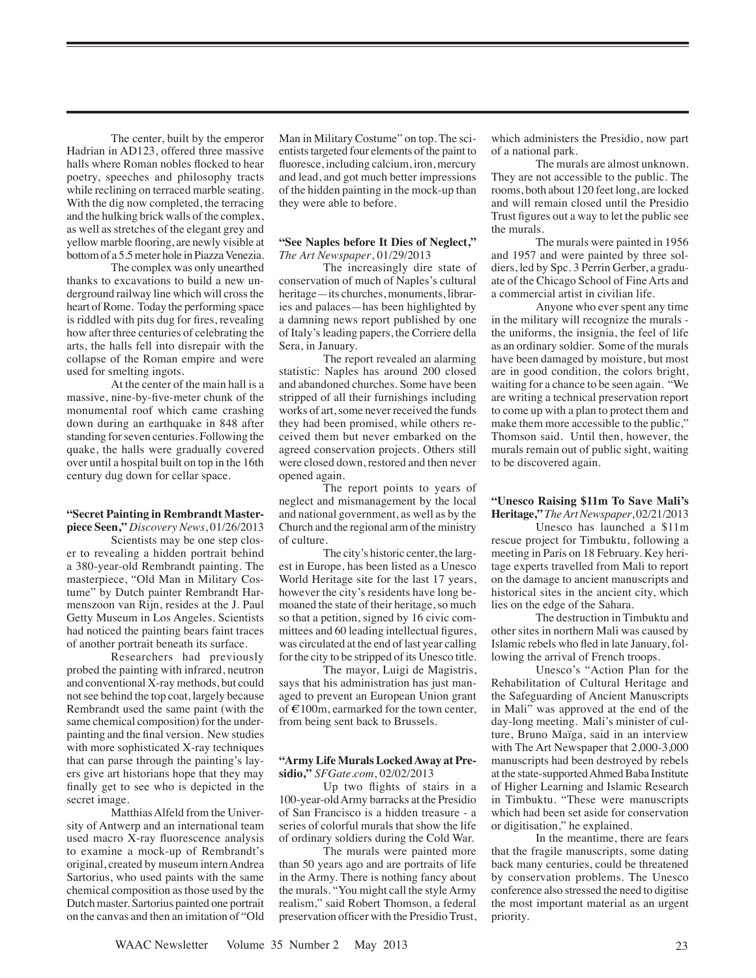The center, built by the emperor Hadrian in AD123, offered three massive halls where Roman nobles flocked to hear poetry, speeches and philosophy tracts while reclining on terraced marble seating. With the dig now completed, the terracing and the hulking brick walls of the complex, as well as stretches of the elegant grey and yellow marble flooring, are newly visible at bottom of a 5.5 meter hole in Piazza Venezia.

The complex was only unearthed thanks to excavations to build a new underground railway line which will cross the heart of Rome. Today the performing space is riddled with pits dug for fires, revealing how after three centuries of celebrating the arts, the halls fell into disrepair with the collapse of the Roman empire and were used for smelting ingots.

At the center of the main hall is a massive, nine-by-five-meter chunk of the monumental roof which came crashing down during an earthquake in 848 after standing for seven centuries. Following the quake, the halls were gradually covered over until a hospital built on top in the 16th century dug down for cellar space.

#### **"Secret Painting in Rembrandt Masterpiece Seen,"** *Discovery News*, 01/26/2013

Scientists may be one step closer to revealing a hidden portrait behind a 380-year-old Rembrandt painting. The masterpiece, "Old Man in Military Costume" by Dutch painter Rembrandt Harmenszoon van Rijn, resides at the J. Paul Getty Museum in Los Angeles. Scientists had noticed the painting bears faint traces of another portrait beneath its surface.

Researchers had previously probed the painting with infrared, neutron and conventional X-ray methods, but could not see behind the top coat, largely because Rembrandt used the same paint (with the same chemical composition) for the underpainting and the final version. New studies with more sophisticated X-ray techniques that can parse through the painting's layers give art historians hope that they may finally get to see who is depicted in the secret image.

Matthias Alfeld from the University of Antwerp and an international team used macro X-ray fluorescence analysis to examine a mock-up of Rembrandt's original, created by museum intern Andrea Sartorius, who used paints with the same chemical composition as those used by the Dutch master. Sartorius painted one portrait on the canvas and then an imitation of "Old

Man in Military Costume" on top. The scientists targeted four elements of the paint to fluoresce, including calcium, iron, mercury and lead, and got much better impressions of the hidden painting in the mock-up than they were able to before.

#### **"See Naples before It Dies of Neglect,"** *The Art Newspaper*, 01/29/2013

The increasingly dire state of conservation of much of Naples's cultural heritage—its churches, monuments, libraries and palaces—has been highlighted by a damning news report published by one of Italy's leading papers, the Corriere della Sera, in January.

The report revealed an alarming statistic: Naples has around 200 closed and abandoned churches. Some have been stripped of all their furnishings including works of art, some never received the funds they had been promised, while others received them but never embarked on the agreed conservation projects. Others still were closed down, restored and then never opened again.

The report points to years of neglect and mismanagement by the local and national government, as well as by the Church and the regional arm of the ministry of culture.

The city's historic center, the largest in Europe, has been listed as a Unesco World Heritage site for the last 17 years, however the city's residents have long bemoaned the state of their heritage, so much so that a petition, signed by 16 civic committees and 60 leading intellectual figures, was circulated at the end of last year calling for the city to be stripped of its Unesco title.

The mayor, Luigi de Magistris, says that his administration has just managed to prevent an European Union grant of €100m, earmarked for the town center, from being sent back to Brussels.

## **"Army Life Murals Locked Away at Presidio,"** *SFGate.com*, 02/02/2013

Up two flights of stairs in a 100-year-old Army barracks at the Presidio of San Francisco is a hidden treasure - a series of colorful murals that show the life of ordinary soldiers during the Cold War.

The murals were painted more than 50 years ago and are portraits of life in the Army. There is nothing fancy about the murals. "You might call the style Army realism," said Robert Thomson, a federal preservation officer with the Presidio Trust, which administers the Presidio, now part of a national park.

The murals are almost unknown. They are not accessible to the public. The rooms, both about 120 feet long, are locked and will remain closed until the Presidio Trust figures out a way to let the public see the murals.

The murals were painted in 1956 and 1957 and were painted by three soldiers, led by Spc. 3 Perrin Gerber, a graduate of the Chicago School of Fine Arts and a commercial artist in civilian life.

Anyone who ever spent any time in the military will recognize the murals the uniforms, the insignia, the feel of life as an ordinary soldier. Some of the murals have been damaged by moisture, but most are in good condition, the colors bright, waiting for a chance to be seen again. "We are writing a technical preservation report to come up with a plan to protect them and make them more accessible to the public," Thomson said. Until then, however, the murals remain out of public sight, waiting to be discovered again.

## **"Unesco Raising \$11m To Save Mali's Heritage,"** *The Art Newspaper*, 02/21/2013

Unesco has launched a \$11m rescue project for Timbuktu, following a meeting in Paris on 18 February. Key heritage experts travelled from Mali to report on the damage to ancient manuscripts and historical sites in the ancient city, which lies on the edge of the Sahara.

The destruction in Timbuktu and other sites in northern Mali was caused by Islamic rebels who fled in late January, following the arrival of French troops.

Unesco's "Action Plan for the Rehabilitation of Cultural Heritage and the Safeguarding of Ancient Manuscripts in Mali" was approved at the end of the day-long meeting. Mali's minister of culture, Bruno Maïga, said in an interview with The Art Newspaper that 2,000-3,000 manuscripts had been destroyed by rebels at the state-supported Ahmed Baba Institute of Higher Learning and Islamic Research in Timbuktu. "These were manuscripts which had been set aside for conservation or digitisation," he explained.

In the meantime, there are fears that the fragile manuscripts, some dating back many centuries, could be threatened by conservation problems. The Unesco conference also stressed the need to digitise the most important material as an urgent priority.